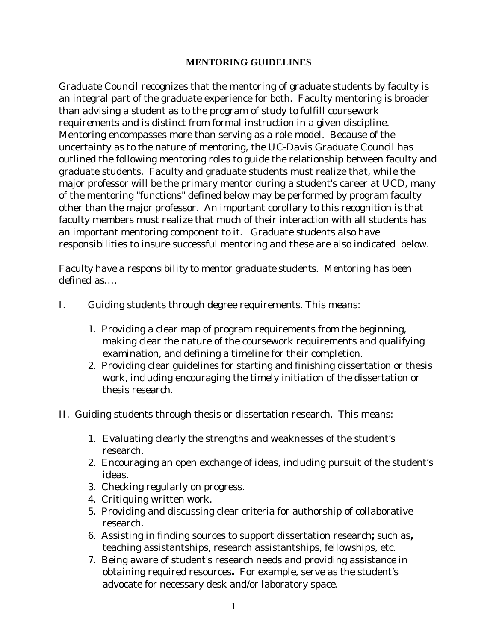## **MENTORING GUIDELINES**

Graduate Council recognizes that the mentoring of graduate students by faculty is an integral part of the graduate experience for both. Faculty mentoring is broader than advising a student as to the program of study to fulfill coursework requirements and is distinct from formal instruction in a given discipline. Mentoring encompasses more than serving as a role model. Because of the uncertainty as to the nature of mentoring, the UC-Davis Graduate Council has outlined the following mentoring roles to guide the relationship between faculty and graduate students. Faculty and graduate students must realize that, while the major professor will be the primary mentor during a student's career at UCD, many of the mentoring "functions" defined below may be performed by program faculty other than the major professor. An important corollary to this recognition is that faculty members must realize that much of their interaction with all students has an important mentoring component to it. Graduate students also have responsibilities to insure successful mentoring and these are also indicated below.

*Faculty have a responsibility to mentor graduate students. Mentoring has been defined as….*

- I. Guiding students through degree requirements. This means:
	- 1. Providing a clear map of program requirements from the beginning, making clear the nature of the coursework requirements and qualifying examination, and defining a timeline for their completion.
	- 2. Providing clear guidelines for starting and finishing dissertation or thesis work, including encouraging the timely initiation of the dissertation or thesis research.
- II. Guiding students through thesis or dissertation research. This means:
	- 1. Evaluating clearly the strengths and weaknesses of the student's research.
	- 2. Encouraging an open exchange of ideas, including pursuit of the student's ideas.
	- 3. Checking regularly on progress.
	- 4. Critiquing written work.
	- 5. Providing and discussing clear criteria for authorship of collaborative research.
	- 6. Assisting in finding sources to support dissertation research**;** such as**,** teaching assistantships, research assistantships, fellowships, etc.
	- 7. Being aware of student's research needs and providing assistance in obtaining required resources**.** For example, serve as the student's advocate for necessary desk and/or laboratory space.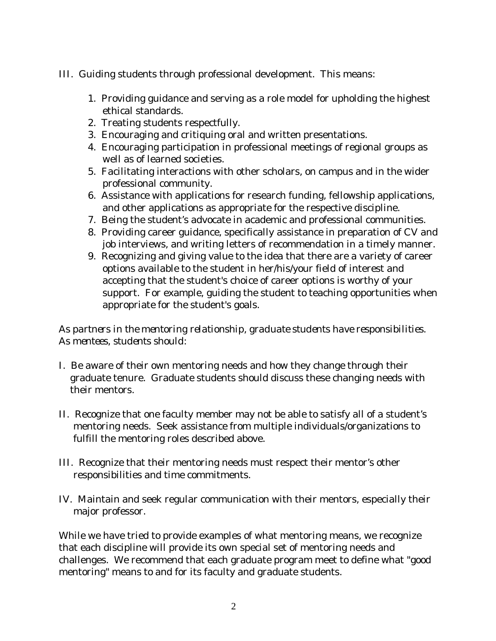- III. Guiding students through professional development. This means:
	- 1. Providing guidance and serving as a role model for upholding the highest ethical standards.
	- 2. Treating students respectfully.
	- 3. Encouraging and critiquing oral and written presentations.
	- 4. Encouraging participation in professional meetings of regional groups as well as of learned societies.
	- 5. Facilitating interactions with other scholars, on campus and in the wider professional community.
	- 6. Assistance with applications for research funding, fellowship applications, and other applications as appropriate for the respective discipline.
	- 7. Being the student's advocate in academic and professional communities.
	- 8. Providing career guidance, specifically assistance in preparation of CV and job interviews, and writing letters of recommendation in a timely manner.
	- 9. Recognizing and giving value to the idea that there are a variety of career options available to the student in her/his/your field of interest and accepting that the student's choice of career options is worthy of your support. For example, guiding the student to teaching opportunities when appropriate for the student's goals.

## *As partners in the mentoring relationship, graduate students have responsibilities. As mentees, students should:*

- I. Be aware of their own mentoring needs and how they change through their graduate tenure. Graduate students should discuss these changing needs with their mentors.
- II. Recognize that one faculty member may not be able to satisfy all of a student's mentoring needs. Seek assistance from multiple individuals/organizations to fulfill the mentoring roles described above.
- III. Recognize that their mentoring needs must respect their mentor's other responsibilities and time commitments.
- IV. Maintain and seek regular communication with their mentors, especially their major professor.

While we have tried to provide examples of what mentoring means, we recognize that each discipline will provide its own special set of mentoring needs and challenges. We recommend that each graduate program meet to define what "good mentoring" means to and for its faculty and graduate students.